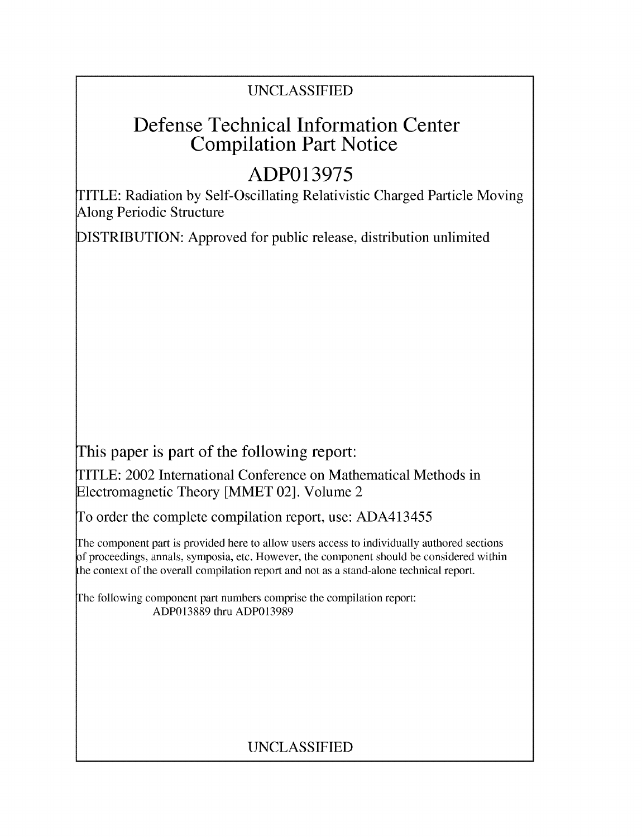## UNCLASSIFIED

# Defense Technical Information Center Compilation Part Notice

# **ADP013975**

TITLE: Radiation by Self-Oscillating Relativistic Charged Particle Moving Along Periodic Structure

DISTRIBUTION: Approved for public release, distribution unlimited

This paper is part of the following report:

TITLE: 2002 International Conference on Mathematical Methods in Electromagnetic Theory [MMET 02]. Volume 2

To order the complete compilation report, use: ADA413455

The component part is provided here to allow users access to individually authored sections f proceedings, annals, symposia, etc. However, the component should be considered within the context of the overall compilation report and not as a stand-alone technical report.

The following component part numbers comprise the compilation report: ADP013889 thru ADP013989

## UNCLASSIFIED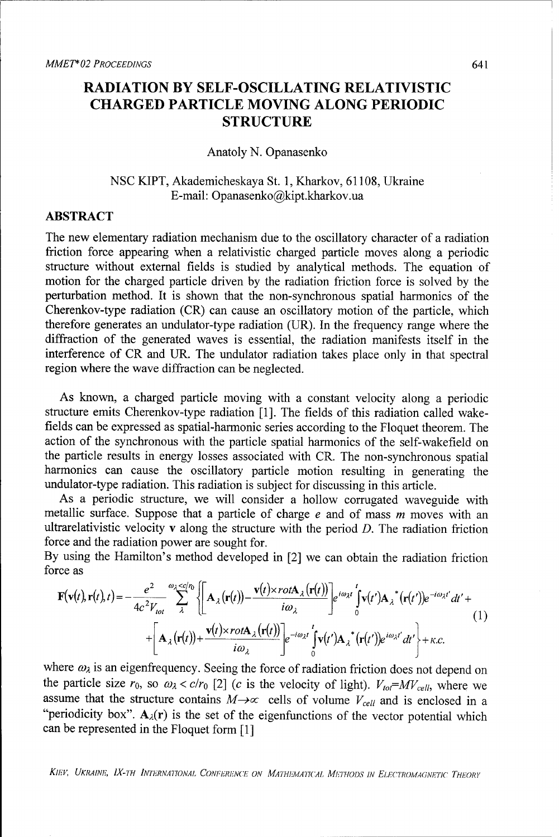## RADIATION BY **SELF-OSCILLATING** RELATIVISTIC CHARGED PARTICLE **MOVING ALONG** PERIODIC **STRUCTURE**

#### Anatoly **N.** Opanasenko

## NSC KIPT, Akademicheskaya St. 1, Kharkov, 61108, Ukraine E-mail: Opanasenko@kipt.kharkov.ua

### ABSTRACT

The new elementary radiation mechanism due to the oscillatory character of a radiation friction force appearing when a relativistic charged particle moves along a periodic structure without external fields is studied by analytical methods. The equation of motion for the charged particle driven by the radiation friction force is solved by the perturbation method. It is shown that the non-synchronous spatial harmonics of the Cherenkov-type radiation (CR) can cause an oscillatory motion of the particle, which therefore generates an undulator-type radiation (UR). In the frequency range where the diffraction of the generated waves is essential, the radiation manifests itself in the interference of CR and UR. The undulator radiation takes place only in that spectral region where the wave diffraction can be neglected.

As known, a charged particle moving with a constant velocity along a periodic structure emits Cherenkov-type radiation [1]. The fields of this radiation called wakefields can be expressed as spatial-harmonic series according to the Floquet theorem. The action of the synchronous with the particle spatial harmonics of the self-wakefield on the particle results in energy losses associated with CR. The non-synchronous spatial harmonics can cause the oscillatory particle motion resulting in generating the undulator-type radiation. This radiation is subject for discussing in this article.

As a periodic structure, we will consider a hollow corrugated waveguide with metallic surface. Suppose that a particle of charge  $e$  and of mass  $m$  moves with an ultrarelativistic velocity  $\bf{v}$  along the structure with the period  $D$ . The radiation friction force and the radiation power are sought for.

By using the Hamilton's method developed in [2] we can obtain the radiation friction force as

$$
\mathbf{F}(\mathbf{v}(t), \mathbf{r}(t), t) = -\frac{e^2}{4c^2 V_{tot}} \sum_{\lambda}^{\omega_{\lambda} < c/\nu} \left\{ \mathbf{A}_{\lambda}(\mathbf{r}(t)) - \frac{\mathbf{v}(t) \times rot\mathbf{A}_{\lambda}(\mathbf{r}(t))}{i\omega_{\lambda}} \right\} e^{i\omega_{\lambda} t} \int_{0}^{t} \mathbf{v}(t') \mathbf{A}_{\lambda}^* (\mathbf{r}(t')) e^{-i\omega_{\lambda} t'} dt' + \\ + \left[ \mathbf{A}_{\lambda}(\mathbf{r}(t)) + \frac{\mathbf{v}(t) \times rot\mathbf{A}_{\lambda}(\mathbf{r}(t))}{i\omega_{\lambda}} \right] e^{-i\omega_{\lambda} t} \int_{0}^{t} \mathbf{v}(t') \mathbf{A}_{\lambda}^* (\mathbf{r}(t')) e^{i\omega_{\lambda} t'} dt' + K.c. \tag{1}
$$

where  $\omega_\lambda$  is an eigenfrequency. Seeing the force of radiation friction does not depend on the particle size  $r_0$ , so  $\omega_\lambda < c/r_0$  [2] *(c* is the velocity of light).  $V_{to} = MV_{cell}$ , where we assume that the structure contains  $M \rightarrow \infty$  cells of volume  $V_{cell}$  and is enclosed in a "periodicity box".  $A_{\lambda}(r)$  is the set of the eigenfunctions of the vector potential which can be represented in the Floquet form [1]

**KIEV, UKRAINE, IX-TH INTERNATIONAL CONFERENCE ON MATHEMATICAL METHODS IN ELECTROMAGNETIC THEORY**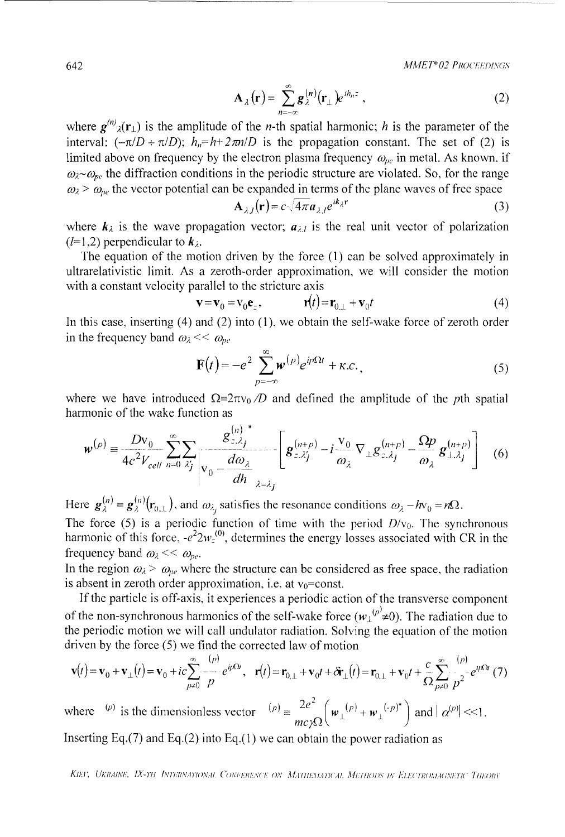642 *MAJEP 02 PROCEE:DINGS*

$$
\mathbf{A}_{\lambda}(\mathbf{r}) = \sum_{n=-\infty}^{\infty} \mathbf{g}_{\lambda}^{(n)}(\mathbf{r}_{\perp}) e^{ih_{n}z} , \qquad (2)
$$

where  $g^{(n)}_{\lambda}(r_{\perp})$  is the amplitude of the *n*-th spatial harmonic; *h* is the parameter of the interval:  $(-\pi/D + \pi/D)$ ;  $h_n=h+2\pi n/D$  is the propagation constant. The set of (2) is limited above on frequency by the electron plasma frequency  $\omega_{pe}$  in metal. As known, if  $\omega_{\lambda} \sim \omega_{pe}$  the diffraction conditions in the periodic structure are violated. So, for the range  $\omega_{\lambda}$  >  $\omega_{pe}$  the vector potential can be expanded in terms of the plane waves of free space

$$
\mathbf{A}_{\lambda J}(\mathbf{r}) = c \sqrt{4\pi a_{\lambda J}} e^{ik_{\lambda} \mathbf{r}}
$$
 (3)

where  $k_{\lambda}$  is the wave propagation vector;  $a_{\lambda,l}$  is the real unit vector of polarization  $(l=1,2)$  perpendicular to  $\mathbf{k}_{\lambda}$ .

The equation of the motion driven **by** the force **(1)** can be solved approximately in ultrarelativistic limit. As a zeroth-order approximation, we will consider the motion with a constant velocity parallel to the stricture axis

$$
\mathbf{v} = \mathbf{v}_0 = \mathbf{v}_0 \mathbf{e}_z, \qquad \qquad \mathbf{r}(t) = \mathbf{r}_{0,\perp} + \mathbf{v}_0 t \tag{4}
$$

In this case, inserting (4) and (2) into **(1),** we obtain the self-wake force of zeroth order in the frequency band  $\omega_{\lambda} << \omega_{\text{loc}}$ 

$$
\mathbf{F}(t) = -e^2 \sum_{p=-\infty}^{\infty} \mathbf{w}^{(p)} e^{ip\Omega t} + \kappa.c.,
$$
 (5)

where we have introduced  $\Omega \equiv 2\pi v_0/D$  and defined the amplitude of the *pth* spatial harmonic of the wake function as **(**n) **\*** 

$$
\boldsymbol{w}^{(p)} = \frac{Dv_0}{4c^2 V_{cell}} \sum_{n=0}^{\infty} \sum_{\lambda'_j} \frac{g_{z,\lambda_j}^{(n)}}{v_0 - \frac{d\omega_{\lambda}}{dh}} \left[ \boldsymbol{g}_{z,\lambda'_j}^{(n+p)} - i \frac{v_0}{\omega_{\lambda}} \nabla_{\perp} g_{z,\lambda_j}^{(n+p)} - \frac{\Omega p}{\omega_{\lambda}} \boldsymbol{g}_{\perp,\lambda_j}^{(n+p)} \right] \tag{6}
$$

Here  $\mathbf{g}_{\lambda}^{(n)} = \mathbf{g}_{\lambda}^{(n)}(\mathbf{r}_{0,\perp}),$  and  $\omega_{\lambda}$  satisfies the resonance conditions  $\omega_{\lambda} - h\nu_{0} = n\Omega$ . The force (5) is a periodic function of time with the period  $D/v_0$ . The synchronous harmonic of this force,  $-e^2 2w_z^{(0)}$ , determines the energy losses associated with CR in the frequency band  $\omega_{\lambda} << \omega_{pe}$ .

In the region  $\omega_2 > \omega_{pe}$  where the structure can be considered as free space, the radiation is absent in zeroth order approximation, i.e. at  $v_0$ =const.

**If** the particle is off-axis, it experiences a periodic action of the transverse component of the non-synchronous harmonics of the self-wake force  $(w_1^{(p)} \neq 0)$ . The radiation due to the periodic motion we will call undulator radiation. Solving the equation of the motion driven **by** the force *(5)* we find the corrected law of motion

$$
\mathbf{v}(t) = \mathbf{v}_0 + \mathbf{v}_{\perp}(t) = \mathbf{v}_0 + ic \sum_{p \neq 0}^{\infty} \frac{(p)}{p} e^{ip\Omega t}, \quad \mathbf{r}(t) = \mathbf{r}_{0,\perp} + \mathbf{v}_0 t + \delta \mathbf{r}_{\perp}(t) = \mathbf{r}_{0,\perp} + \mathbf{v}_0 t + \frac{c}{\Omega} \sum_{p \neq 0}^{\infty} \frac{(p)}{p^2} e^{ip\Omega t} (7)
$$

where  $\binom{p}{r}$  is the dimensionless vector  $\binom{p}{r} = \frac{2e^2}{mc\gamma\Omega} \left(\mathbf{w}_{\perp}(\mathbf{r}) + \mathbf{w}_{\perp}(\mathbf{r})^*\right)$  and  $|\alpha^{(p)}| \ll 1$ .

Inserting **Eq.(7)** and **Eq.(2)** into **Eq.(1)** we can obtain the power radiation as